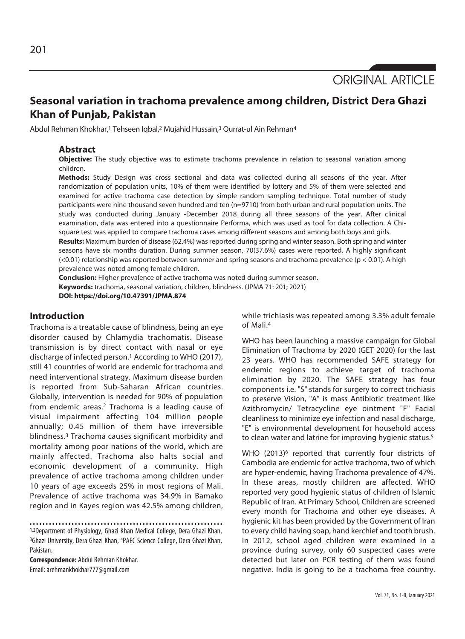ORIGINAL ARTICLE

# **Seasonal variation in trachoma prevalence among children, District Dera Ghazi Khan of Punjab, Pakistan**

Abdul Rehman Khokhar,<sup>1</sup> Tehseen Iqbal,<sup>2</sup> Mujahid Hussain,<sup>3</sup> Qurrat-ul Ain Rehman<sup>4</sup>

#### **Abstract**

**Objective:** The study objective was to estimate trachoma prevalence in relation to seasonal variation among children.

**Methods:** Study Design was cross sectional and data was collected during all seasons of the year. After randomization of population units, 10% of them were identified by lottery and 5% of them were selected and examined for active trachoma case detection by simple random sampling technique. Total number of study participants were nine thousand seven hundred and ten (n=9710) from both urban and rural population units. The study was conducted during January -December 2018 during all three seasons of the year. After clinical examination, data was entered into a questionnaire Performa, which was used as tool for data collection. A Chisquare test was applied to compare trachoma cases among different seasons and among both boys and girls. **Results:** Maximum burden of disease (62.4%) was reported during spring and winter season. Both spring and winter seasons have six months duration. During summer season, 70(37.6%) cases were reported. A highly significant  $( $0.01$ ) relationship was reported between summer and spring seasons and trachoma prevalence (p  $$0.01$ ). A high$$ 

prevalence was noted among female children.

**Conclusion:** Higher prevalence of active trachoma was noted during summer season. **Keywords:** trachoma, seasonal variation, children, blindness. (JPMA 71: 201; 2021)

**DOI: https://doi.org/10.47391/JPMA.874**

# **Introduction**

Trachoma is a treatable cause of blindness, being an eye disorder caused by Chlamydia trachomatis. Disease transmission is by direct contact with nasal or eye discharge of infected person.<sup>1</sup> According to WHO (2017), still 41 countries of world are endemic for trachoma and need interventional strategy. Maximum disease burden is reported from Sub-Saharan African countries. Globally, intervention is needed for 90% of population from endemic areas.2 Trachoma is a leading cause of visual impairment affecting 104 million people annually; 0.45 million of them have irreversible blindness.3 Trachoma causes significant morbidity and mortality among poor nations of the world, which are mainly affected. Trachoma also halts social and economic development of a community. High prevalence of active trachoma among children under 10 years of age exceeds 25% in most regions of Mali. Prevalence of active trachoma was 34.9% in Bamako region and in Kayes region was 42.5% among children,

1,2Department of Physiology, Ghazi Khan Medical College, Dera Ghazi Khan, 3Ghazi University, Dera Ghazi Khan, 4PAEC Science College, Dera Ghazi Khan, Pakistan.

**Correspondence:** Abdul Rehman Khokhar. Email: arehmankhokhar777@gmail.com

while trichiasis was repeated among 3.3% adult female of Mali.4

WHO has been launching a massive campaign for Global Elimination of Trachoma by 2020 (GET 2020) for the last 23 years. WHO has recommended SAFE strategy for endemic regions to achieve target of trachoma elimination by 2020. The SAFE strategy has four components i.e. "S" stands for surgery to correct trichiasis to preserve Vision, "A" is mass Antibiotic treatment like Azithromycin/ Tetracycline eye ointment "F" Facial cleanliness to minimize eye infection and nasal discharge, "E" is environmental development for household access to clean water and latrine for improving hygienic status.<sup>5</sup>

WHO (2013)<sup>6</sup> reported that currently four districts of Cambodia are endemic for active trachoma, two of which are hyper-endemic, having Trachoma prevalence of 47%. In these areas, mostly children are affected. WHO reported very good hygienic status of children of Islamic Republic of Iran. At Primary School, Children are screened every month for Trachoma and other eye diseases. A hygienic kit has been provided by the Government of Iran to every child having soap, hand kerchief and tooth brush. In 2012, school aged children were examined in a province during survey, only 60 suspected cases were detected but later on PCR testing of them was found negative. India is going to be a trachoma free country.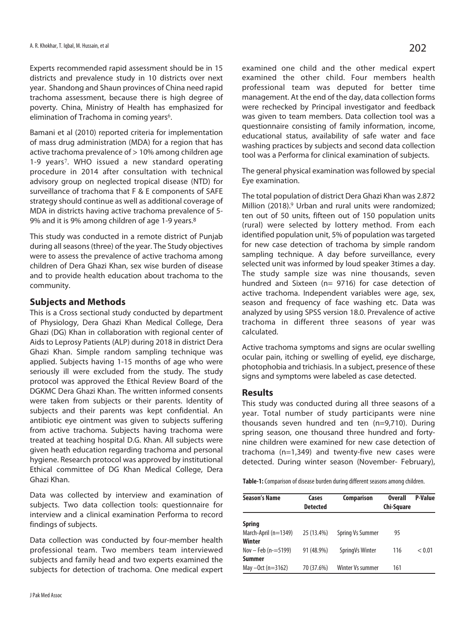Experts recommended rapid assessment should be in 15 districts and prevalence study in 10 districts over next year. Shandong and Shaun provinces of China need rapid trachoma assessment, because there is high degree of poverty. China, Ministry of Health has emphasized for elimination of Trachoma in coming years<sup>6</sup>.

Bamani et al (2010) reported criteria for implementation of mass drug administration (MDA) for a region that has active trachoma prevalence of > 10% among children age 1-9 years<sup>7</sup>. WHO issued a new standard operating procedure in 2014 after consultation with technical advisory group on neglected tropical disease (NTD) for surveillance of trachoma that F & E components of SAFE strategy should continue as well as additional coverage of MDA in districts having active trachoma prevalence of 5- 9% and it is 9% among children of age 1-9 years.8

This study was conducted in a remote district of Punjab during all seasons (three) of the year. The Study objectives were to assess the prevalence of active trachoma among children of Dera Ghazi Khan, sex wise burden of disease and to provide health education about trachoma to the community.

# **Subjects and Methods**

This is a Cross sectional study conducted by department of Physiology, Dera Ghazi Khan Medical College, Dera Ghazi (DG) Khan in collaboration with regional center of Aids to Leprosy Patients (ALP) during 2018 in district Dera Ghazi Khan. Simple random sampling technique was applied. Subjects having 1-15 months of age who were seriously ill were excluded from the study. The study protocol was approved the Ethical Review Board of the DGKMC Dera Ghazi Khan. The written informed consents were taken from subjects or their parents. Identity of subjects and their parents was kept confidential. An antibiotic eye ointment was given to subjects suffering from active trachoma. Subjects having trachoma were treated at teaching hospital D.G. Khan. All subjects were given heath education regarding trachoma and personal hygiene. Research protocol was approved by institutional Ethical committee of DG Khan Medical College, Dera Ghazi Khan.

Data was collected by interview and examination of subjects. Two data collection tools: questionnaire for interview and a clinical examination Performa to record findings of subjects.

Data collection was conducted by four-member health professional team. Two members team interviewed subjects and family head and two experts examined the subjects for detection of trachoma. One medical expert examined one child and the other medical expert examined the other child. Four members health professional team was deputed for better time management. At the end of the day, data collection forms were rechecked by Principal investigator and feedback was given to team members. Data collection tool was a questionnaire consisting of family information, income, educational status, availability of safe water and face washing practices by subjects and second data collection tool was a Performa for clinical examination of subjects.

The general physical examination was followed by special Eye examination.

The total population of district Dera Ghazi Khan was 2.872 Million (2018).<sup>9</sup> Urban and rural units were randomized; ten out of 50 units, fifteen out of 150 population units (rural) were selected by lottery method. From each identified population unit, 5% of population was targeted for new case detection of trachoma by simple random sampling technique. A day before surveillance, every selected unit was informed by loud speaker 3times a day. The study sample size was nine thousands, seven hundred and Sixteen (n= 9716) for case detection of active trachoma. Independent variables were age, sex, season and frequency of face washing etc. Data was analyzed by using SPSS version 18.0. Prevalence of active trachoma in different three seasons of year was calculated.

Active trachoma symptoms and signs are ocular swelling ocular pain, itching or swelling of eyelid, eye discharge, photophobia and trichiasis. In a subject, presence of these signs and symptoms were labeled as case detected.

#### **Results**

This study was conducted during all three seasons of a year. Total number of study participants were nine thousands seven hundred and ten (n=9,710). During spring season, one thousand three hundred and fortynine children were examined for new case detection of trachoma (n=1,349) and twenty-five new cases were detected. During winter season (November- February),

**Table-1:** Comparison of disease burden during different seasons among children.

| <b>Season's Name</b> | Cases           | <b>Comparison</b> | <b>Overall</b> | P-Value |
|----------------------|-----------------|-------------------|----------------|---------|
|                      | <b>Detected</b> |                   | Chi-Square     |         |
| <b>Spring</b>        |                 |                   |                |         |
| March-April (n=1349) | 25 (13.4%)      | Spring Vs Summer  | 95             |         |
| Winter               |                 |                   |                |         |
| Nov - Feb $(n=5199)$ | 91 (48.9%)      | Spring Vs Winter  | 116            | < 0.01  |
| <b>Summer</b>        |                 |                   |                |         |
| May $-0ct$ (n=3162)  | 70 (37.6%)      | Winter Vs summer  | 161            |         |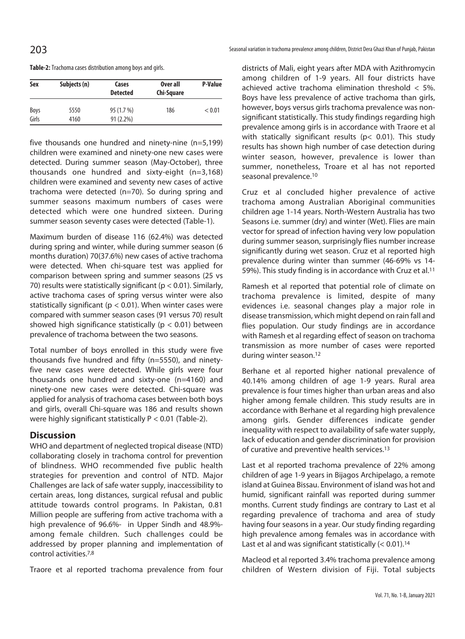|  |  |  | Table-2: Trachoma cases distribution among boys and girls. |  |  |  |  |
|--|--|--|------------------------------------------------------------|--|--|--|--|
|--|--|--|------------------------------------------------------------|--|--|--|--|

| Sex           | Subjects (n) | Cases<br><b>Detected</b>  | Over all<br>Chi-Square | <b>P-Value</b> |  |
|---------------|--------------|---------------------------|------------------------|----------------|--|
| Boys<br>Girls | 5550<br>4160 | 95 (1.7 %)<br>$91(2.2\%)$ | 186                    | < 0.01         |  |

five thousands one hundred and ninety-nine (n=5,199) children were examined and ninety-one new cases were detected. During summer season (May-October), three thousands one hundred and sixty-eight (n=3,168) children were examined and seventy new cases of active trachoma were detected (n=70). So during spring and summer seasons maximum numbers of cases were detected which were one hundred sixteen. During summer season seventy cases were detected (Table-1).

Maximum burden of disease 116 (62.4%) was detected during spring and winter, while during summer season (6 months duration) 70(37.6%) new cases of active trachoma were detected. When chi-square test was applied for comparison between spring and summer seasons (25 vs 70) results were statistically significant ( $p < 0.01$ ). Similarly, active trachoma cases of spring versus winter were also statistically significant ( $p < 0.01$ ). When winter cases were compared with summer season cases (91 versus 70) result showed high significance statistically ( $p < 0.01$ ) between prevalence of trachoma between the two seasons.

Total number of boys enrolled in this study were five thousands five hundred and fifty (n=5550), and ninetyfive new cases were detected. While girls were four thousands one hundred and sixty-one (n=4160) and ninety-one new cases were detected. Chi-square was applied for analysis of trachoma cases between both boys and girls, overall Chi-square was 186 and results shown were highly significant statistically P < 0.01 (Table-2).

# **Discussion**

WHO and department of neglected tropical disease (NTD) collaborating closely in trachoma control for prevention of blindness. WHO recommended five public health strategies for prevention and control of NTD. Major Challenges are lack of safe water supply, inaccessibility to certain areas, long distances, surgical refusal and public attitude towards control programs. In Pakistan, 0.81 Million people are suffering from active trachoma with a high prevalence of 96.6%- in Upper Sindh and 48.9% among female children. Such challenges could be addressed by proper planning and implementation of control activities.7,8

Traore et al reported trachoma prevalence from four

districts of Mali, eight years after MDA with Azithromycin among children of 1-9 years. All four districts have achieved active trachoma elimination threshold < 5%. Boys have less prevalence of active trachoma than girls, however, boys versus girls trachoma prevalence was nonsignificant statistically. This study findings regarding high prevalence among girls is in accordance with Traore et al with statically significant results (p< 0.01). This study results has shown high number of case detection during winter season, however, prevalence is lower than summer, nonetheless, Troare et al has not reported seasonal prevalence.10

Cruz et al concluded higher prevalence of active trachoma among Australian Aboriginal communities children age 1-14 years. North-Western Australia has two Seasons i.e. summer (dry) and winter (Wet). Flies are main vector for spread of infection having very low population during summer season, surprisingly flies number increase significantly during wet season. Cruz et al reported high prevalence during winter than summer (46-69% vs 14- 59%). This study finding is in accordance with Cruz et al.11

Ramesh et al reported that potential role of climate on trachoma prevalence is limited, despite of many evidences i.e. seasonal changes play a major role in disease transmission, which might depend on rain fall and flies population. Our study findings are in accordance with Ramesh et al regarding effect of season on trachoma transmission as more number of cases were reported during winter season.12

Berhane et al reported higher national prevalence of 40.14% among children of age 1-9 years. Rural area prevalence is four times higher than urban areas and also higher among female children. This study results are in accordance with Berhane et al regarding high prevalence among girls. Gender differences indicate gender inequality with respect to availability of safe water supply, lack of education and gender discrimination for provision of curative and preventive health services.13

Last et al reported trachoma prevalence of 22% among children of age 1-9 years in Bijagos Archipelago, a remote island at Guinea Bissau. Environment of island was hot and humid, significant rainfall was reported during summer months. Current study findings are contrary to Last et al regarding prevalence of trachoma and area of study having four seasons in a year. Our study finding regarding high prevalence among females was in accordance with Last et al and was significant statistically  $(< 0.01)$ .<sup>14</sup>

Macleod et al reported 3.4% trachoma prevalence among children of Western division of Fiji. Total subjects